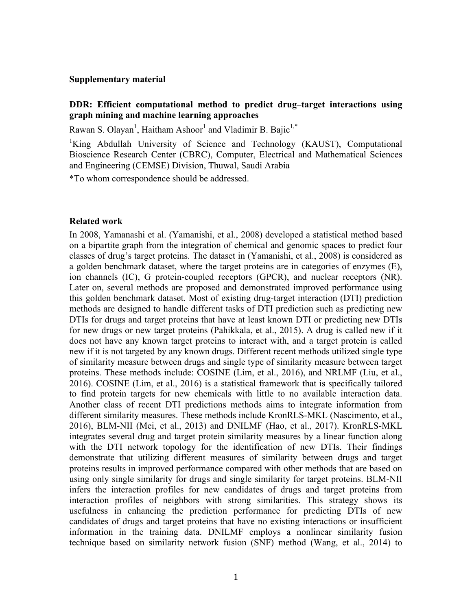#### **Supplementary material**

## **DDR: Efficient computational method to predict drug–target interactions using graph mining and machine learning approaches**

Rawan S. Olayan<sup>1</sup>, Haitham Ashoor<sup>1</sup> and Vladimir B. Bajic<sup>1,\*</sup>

<sup>1</sup>King Abdullah University of Science and Technology (KAUST), Computational Bioscience Research Center (CBRC), Computer, Electrical and Mathematical Sciences and Engineering (CEMSE) Division, Thuwal, Saudi Arabia

\*To whom correspondence should be addressed.

#### **Related work**

In 2008, Yamanashi et al. (Yamanishi, et al., 2008) developed a statistical method based on a bipartite graph from the integration of chemical and genomic spaces to predict four classes of drug's target proteins. The dataset in (Yamanishi, et al., 2008) is considered as a golden benchmark dataset, where the target proteins are in categories of enzymes (E), ion channels (IC), G protein-coupled receptors (GPCR), and nuclear receptors (NR). Later on, several methods are proposed and demonstrated improved performance using this golden benchmark dataset. Most of existing drug-target interaction (DTI) prediction methods are designed to handle different tasks of DTI prediction such as predicting new DTIs for drugs and target proteins that have at least known DTI or predicting new DTIs for new drugs or new target proteins (Pahikkala, et al., 2015). A drug is called new if it does not have any known target proteins to interact with, and a target protein is called new if it is not targeted by any known drugs. Different recent methods utilized single type of similarity measure between drugs and single type of similarity measure between target proteins. These methods include: COSINE (Lim, et al., 2016), and NRLMF (Liu, et al., 2016). COSINE (Lim, et al., 2016) is a statistical framework that is specifically tailored to find protein targets for new chemicals with little to no available interaction data. Another class of recent DTI predictions methods aims to integrate information from different similarity measures. These methods include KronRLS-MKL (Nascimento, et al., 2016), BLM-NII (Mei, et al., 2013) and DNILMF (Hao, et al., 2017). KronRLS-MKL integrates several drug and target protein similarity measures by a linear function along with the DTI network topology for the identification of new DTIs. Their findings demonstrate that utilizing different measures of similarity between drugs and target proteins results in improved performance compared with other methods that are based on using only single similarity for drugs and single similarity for target proteins. BLM-NII infers the interaction profiles for new candidates of drugs and target proteins from interaction profiles of neighbors with strong similarities. This strategy shows its usefulness in enhancing the prediction performance for predicting DTIs of new candidates of drugs and target proteins that have no existing interactions or insufficient information in the training data. DNILMF employs a nonlinear similarity fusion technique based on similarity network fusion (SNF) method (Wang, et al., 2014) to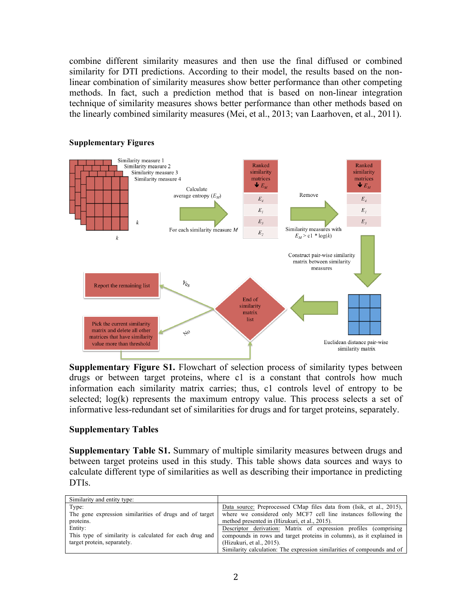combine different similarity measures and then use the final diffused or combined similarity for DTI predictions. According to their model, the results based on the nonlinear combination of similarity measures show better performance than other competing methods. In fact, such a prediction method that is based on non-linear integration technique of similarity measures shows better performance than other methods based on the linearly combined similarity measures (Mei, et al., 2013; van Laarhoven, et al., 2011).



#### **Supplementary Figures**

**Supplementary Figure S1.** Flowchart of selection process of similarity types between drugs or between target proteins, where c1 is a constant that controls how much information each similarity matrix carries; thus, c1 controls level of entropy to be selected; log(k) represents the maximum entropy value. This process selects a set of informative less-redundant set of similarities for drugs and for target proteins, separately.

## **Supplementary Tables**

**Supplementary Table S1.** Summary of multiple similarity measures between drugs and between target proteins used in this study. This table shows data sources and ways to calculate different type of similarities as well as describing their importance in predicting DTIs.

| Similarity and entity type:                             |                                                                         |
|---------------------------------------------------------|-------------------------------------------------------------------------|
| Type:                                                   | Data source: Preprocessed CMap files data from (Isik, et al., 2015),    |
| The gene expression similarities of drugs and of target | where we considered only MCF7 cell line instances following the         |
| proteins.                                               | method presented in (Hizukuri, et al., 2015).                           |
| Entity:                                                 | Descriptor derivation: Matrix of expression profiles (comprising        |
| This type of similarity is calculated for each drug and | compounds in rows and target proteins in columns), as it explained in   |
| target protein, separately.                             | (Hizukuri, et al., 2015).                                               |
|                                                         | Similarity calculation: The expression similarities of compounds and of |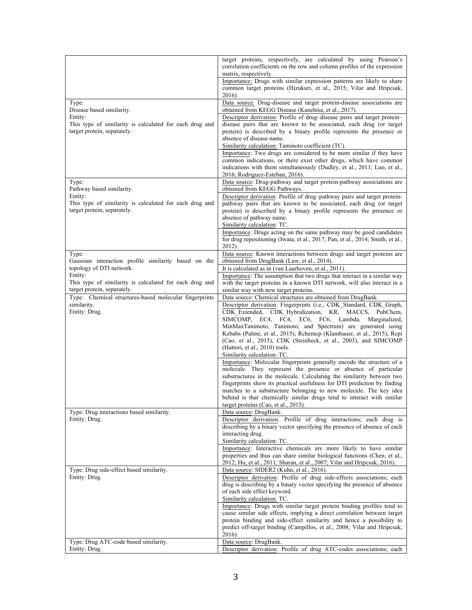|                                                                    | target proteins, respectively, are calculated by using Pearson's                                                                              |
|--------------------------------------------------------------------|-----------------------------------------------------------------------------------------------------------------------------------------------|
|                                                                    | correlation coefficients on the row and column profiles of the expression                                                                     |
|                                                                    | matrix, respectively.                                                                                                                         |
|                                                                    | Importance: Drugs with similar expression patterns are likely to share                                                                        |
|                                                                    | common target proteins (Hizukuri, et al., 2015; Vilar and Hripcsak,                                                                           |
|                                                                    | 2016).                                                                                                                                        |
| Type:<br>Disease based similarity.                                 | Data source: Drug-disease and target protein-disease associations are<br>obtained from KEGG Disease (Kanehisa, et al., 2017).                 |
| Entity:                                                            | Descriptor derivation: Profile of drug-disease pairs and target protein-                                                                      |
| This type of similarity is calculated for each drug and            | disease pairs that are known to be associated, each drug (or target                                                                           |
| target protein, separately.                                        | protein) is described by a binary profile represents the presence or                                                                          |
|                                                                    | absence of disease name.                                                                                                                      |
|                                                                    | Similarity calculation: Taminoto coefficient (TC).                                                                                            |
|                                                                    | Importance: Two drugs are considered to be more similar if they have                                                                          |
|                                                                    | common indications, or there exist other drugs, which have common<br>indications with them simultaneously (Dudley, et al., 2011; Luo, et al., |
|                                                                    | 2016; Rodriguez-Esteban, 2016).                                                                                                               |
| Type:                                                              | Data source: Drug-pathway and target protein-pathway associations are                                                                         |
| Pathway based similarity.                                          | obtained from KEGG Pathways.                                                                                                                  |
| Entity:                                                            | Descriptor derivation: Profile of drug-pathway pairs and target protein-                                                                      |
| This type of similarity is calculated for each drug and            | pathway pairs that are known to be associated, each drug (or target                                                                           |
| target protein, separately.                                        | protein) is described by a binary profile represents the presence or                                                                          |
|                                                                    | absence of pathway name.                                                                                                                      |
|                                                                    | Similarity calculation: TC.<br>Importance: Drugs acting on the same pathway may be good candidates                                            |
|                                                                    | for drug repositioning (Iwata, et al., 2017; Pan, et al., 2014; Smith, et al.,                                                                |
|                                                                    | 2012).                                                                                                                                        |
| Type:                                                              | Data source: Known interactions between drugs and target proteins are                                                                         |
| Gaussian interaction profile similarity based on the               | obtained from DrugBank (Law, et al., 2014).                                                                                                   |
| topology of DTI network.                                           | It is calculated as in (van Laarhoven, et al., 2011).                                                                                         |
| Entity:<br>This type of similarity is calculated for each drug and | Importance: The assumption that two drugs that interact in a similar way                                                                      |
| target protein, separately.                                        | with the target proteins in a known DTI network, will also interact in a<br>similar way with new target proteins.                             |
| Type: Chemical structures-based molecular fingerprints             | Data source: Chemical structures are obtained from DrugBank.                                                                                  |
| similarity.                                                        | Descriptor derivation: Fingerprints (i.e., CDK_Standard, CDK_Graph,                                                                           |
| Entity: Drug.                                                      | CDK Extended, CDK Hybridization, KR, MACCS, PubChem,                                                                                          |
|                                                                    | SIMCOMP,<br>EC4, FC4, EC6, FC6, Lambda,<br>Marginalized,                                                                                      |
|                                                                    | MinMaxTanimoto, Tanimoto, and Spectrum) are generated using                                                                                   |
|                                                                    | Kebabs (Palme, et al., 2015), Rchemcp (Klambauer, et al., 2015), Rcpi<br>(Cao, et al., 2015), CDK (Steinbeck, et al., 2003), and SIMCOMP      |
|                                                                    | (Hattori, et al., 2010) tools.                                                                                                                |
|                                                                    | Similarity calculation: TC.                                                                                                                   |
|                                                                    | Importance: Molecular fingerprints generally encode the structure of a                                                                        |
|                                                                    | molecule. They represent the presence or absence of particular                                                                                |
|                                                                    | substructures in the molecule. Calculating the similarity between two                                                                         |
|                                                                    | fingerprints show its practical usefulness for DTI prediction by finding<br>matches to a substructure belonging to new molecule. The key idea |
|                                                                    | behind is that chemically similar drugs tend to interact with similar                                                                         |
|                                                                    | target proteins (Cao, et al., 2015).                                                                                                          |
| Type: Drug interactions based similarity.                          | Data source: DrugBank.                                                                                                                        |
| Entity: Drug.                                                      | Descriptor derivation: Profile of drug interactions; each drug is                                                                             |
|                                                                    | describing by a binary vector specifying the presence of absence of each<br>interacting drug.                                                 |
|                                                                    | Similarity calculation: TC.                                                                                                                   |
|                                                                    | Importance: Interactive chemicals are more likely to have similar                                                                             |
|                                                                    | properties and thus can share similar biological functions (Chen, et al.,                                                                     |
|                                                                    | 2012; Hu, et al., 2011; Sharan, et al., 2007; Vilar and Hripcsak, 2016).                                                                      |
| Type: Drug side-effect based similarity.                           | Data source: SIDER2 (Kuhn, et al., 2016).                                                                                                     |
| Entity: Drug.                                                      | Descriptor derivation: Profile of drug side-effects associations; each                                                                        |
|                                                                    | drug is describing by a binary vector specifying the presence of absence<br>of each side effect keyword.                                      |
|                                                                    | Similarity calculation: TC.                                                                                                                   |
|                                                                    | Importance: Drugs with similar target protein binding profiles tend to                                                                        |
|                                                                    | cause similar side effects, implying a direct correlation between target                                                                      |
|                                                                    | protein binding and side-effect similarity and hence a possibility to                                                                         |
|                                                                    | predict off-target binding (Campillos, et al., 2008; Vilar and Hripcsak,                                                                      |
|                                                                    | 2016).                                                                                                                                        |
|                                                                    |                                                                                                                                               |
| Type: Drug ATC-code based similarity.<br>Entity: Drug.             | Data source: DrugBank.<br>Descriptor derivation: Profile of drug ATC-codes associations; each                                                 |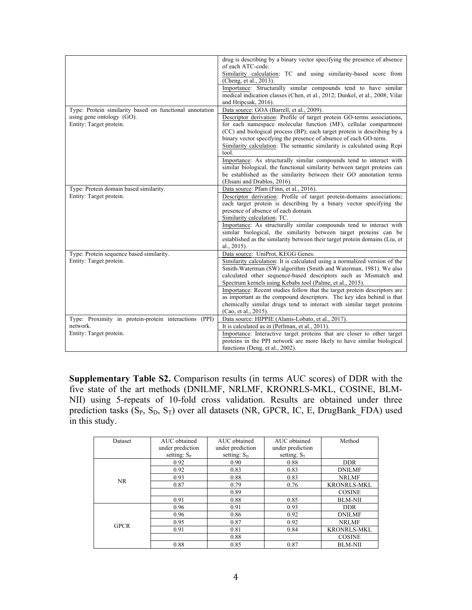|                                                         | drug is describing by a binary vector specifying the presence of absence    |
|---------------------------------------------------------|-----------------------------------------------------------------------------|
|                                                         | of each ATC-code.                                                           |
|                                                         | Similarity calculation: TC and using similarity-based score from            |
|                                                         | (Cheng, et al., 2013).                                                      |
|                                                         | Importance: Structurally similar compounds tend to have similar             |
|                                                         | medical indication classes (Chen, et al., 2012; Dunkel, et al., 2008; Vilar |
|                                                         | and Hripcsak, 2016).                                                        |
| Type: Protein similarity based on functional annotation | Data source: GOA (Barrell, et al., 2009).                                   |
| using gene ontology (GO).                               | Descriptor derivation: Profile of target protein GO-terms associations,     |
| Entity: Target protein.                                 | for each namespace molecular function (MF), cellular compartment            |
|                                                         | (CC) and biological process (BP); each target protein is describing by a    |
|                                                         | binary vector specifying the presence of absence of each GO-term.           |
|                                                         | Similarity calculation: The semantic similarity is calculated using Repi    |
|                                                         | tool.                                                                       |
|                                                         | Importance: As structurally similar compounds tend to interact with         |
|                                                         | similar biological, the functional similarity between target proteins can   |
|                                                         | be established as the similarity between their GO annotation terms          |
|                                                         | (Ehsani and Drablos, 2016).                                                 |
| Type: Protein domain based similarity.                  | Data source: Pfam (Finn, et al., 2016).                                     |
| Entity: Target protein.                                 | Descriptor derivation: Profile of target protein-domains associations;      |
|                                                         | each target protein is describing by a binary vector specifying the         |
|                                                         | presence of absence of each domain.                                         |
|                                                         | Similarity calculation: TC.                                                 |
|                                                         | Importance: As structurally similar compounds tend to interact with         |
|                                                         | similar biological, the similarity between target proteins can be           |
|                                                         | established as the similarity between their target protein domains (Liu, et |
|                                                         | al., 2015).                                                                 |
| Type: Protein sequence based similarity.                | Data source: UniProt, KEGG Genes.                                           |
| Entity: Target protein.                                 | Similarity calculation: It is calculated using a normalized version of the  |
|                                                         | Smith-Waterman (SW) algorithm (Smith and Waterman, 1981). We also           |
|                                                         | calculated other sequence-based descriptors such as Mismatch and            |
|                                                         | Spectrum kernels using Kebabs tool (Palme, et al., 2015).                   |
|                                                         | Importance: Recent studies follow that the target protein descriptors are   |
|                                                         | as important as the compound descriptors. The key idea behind is that       |
|                                                         | chemically similar drugs tend to interact with similar target proteins      |
|                                                         | (Cao, et al., 2015).                                                        |
| Type: Proximity in protein-protein interactions (PPI)   | Data source: HIPPIE (Alanis-Lobato, et al., 2017).                          |
| network.                                                | It is calculated as in (Perlman, et al., 2011).                             |
| Entity: Target protein.                                 | Importance: Interactive target proteins that are closer to other target     |
|                                                         | proteins in the PPI network are more likely to have similar biological      |
|                                                         | functions (Deng, et al., 2002).                                             |

**Supplementary Table S2.** Comparison results (in terms AUC scores) of DDR with the five state of the art methods (DNILMF, NRLMF, KRONRLS-MKL, COSINE, BLM-NII) using 5-repeats of 10-fold cross validation. Results are obtained under three prediction tasks  $(S_P, S_D, S_T)$  over all datasets (NR, GPCR, IC, E, DrugBank FDA) used in this study.

| Dataset     | AUC obtained     | AUC obtained            | AUC obtained     | Method             |
|-------------|------------------|-------------------------|------------------|--------------------|
|             | under prediction | under prediction        | under prediction |                    |
|             | setting: $S_{P}$ | setting: S <sub>D</sub> | setting: $S_T$   |                    |
|             | 0.92             | 0.90                    | 0.88             | <b>DDR</b>         |
|             | 0.92             | 0.83                    | 0.83             | <b>DNILMF</b>      |
| <b>NR</b>   | 0.93             | 0.88                    | 0.83             | <b>NRLMF</b>       |
|             | 0.87             | 0.79                    | 0.76             | <b>KRONRLS-MKL</b> |
|             |                  | 0.89                    |                  | <b>COSINE</b>      |
|             | 0.91             | 0.88                    | 0.85             | <b>BLM-NII</b>     |
|             | 0.96             | 0.91                    | 0.93             | <b>DDR</b>         |
|             | 0.96             | 0.86                    | 0.92             | <b>DNILMF</b>      |
| <b>GPCR</b> | 0.95             | 0.87                    | 0.92             | <b>NRLMF</b>       |
|             | 0.91             | 0.81                    | 0.84             | <b>KRONRLS-MKL</b> |
|             |                  | 0.88                    |                  | <b>COSINE</b>      |
|             | 0.88             | 0.85                    | 0.87             | <b>BLM-NII</b>     |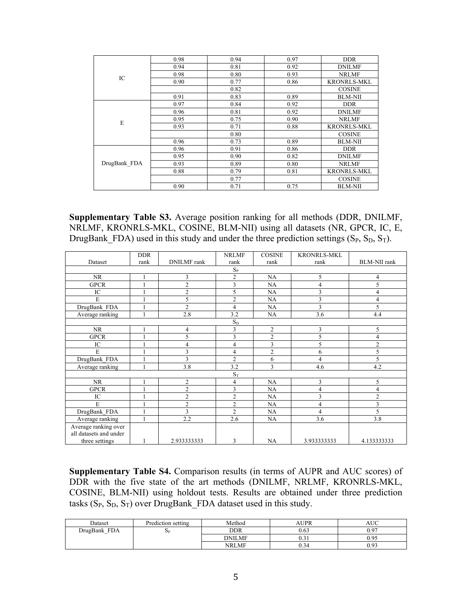|              | 0.98 | 0.94 | 0.97 | <b>DDR</b>         |
|--------------|------|------|------|--------------------|
|              | 0.94 | 0.81 | 0.92 | <b>DNILMF</b>      |
| IC           | 0.98 | 0.80 | 0.93 | <b>NRLMF</b>       |
|              | 0.90 | 0.77 | 0.86 | <b>KRONRLS-MKL</b> |
|              |      | 0.82 |      | <b>COSINE</b>      |
|              | 0.91 | 0.83 | 0.89 | <b>BLM-NII</b>     |
|              | 0.97 | 0.84 | 0.92 | <b>DDR</b>         |
|              | 0.96 | 0.81 | 0.92 | <b>DNILMF</b>      |
| E            | 0.95 | 0.75 | 0.90 | <b>NRLMF</b>       |
|              | 0.93 | 0.71 | 0.88 | <b>KRONRLS-MKL</b> |
|              |      | 0.80 |      | <b>COSINE</b>      |
|              | 0.96 | 0.73 | 0.89 | <b>BLM-NII</b>     |
|              | 0.96 | 0.91 | 0.86 | <b>DDR</b>         |
|              | 0.95 | 0.90 | 0.82 | <b>DNILMF</b>      |
| DrugBank FDA | 0.93 | 0.89 | 0.80 | <b>NRLMF</b>       |
|              | 0.88 | 0.79 | 0.81 | <b>KRONRLS-MKL</b> |
|              |      | 0.77 |      | <b>COSINE</b>      |
|              | 0.90 | 0.71 | 0.75 | <b>BLM-NII</b>     |

**Supplementary Table S3.** Average position ranking for all methods (DDR, DNILMF, NRLMF, KRONRLS-MKL, COSINE, BLM-NII) using all datasets (NR, GPCR, IC, E, DrugBank FDA) used in this study and under the three prediction settings  $(S_P, S_D, S_T)$ .

|                        | <b>DDR</b> |                    | <b>NRLMF</b>   | <b>COSINE</b>  | <b>KRONRLS-MKL</b> |                     |
|------------------------|------------|--------------------|----------------|----------------|--------------------|---------------------|
| Dataset                | rank       | <b>DNILMF</b> rank | rank           | rank           | rank               | <b>BLM-NII</b> rank |
|                        |            |                    | $S_{P}$        |                |                    |                     |
| <b>NR</b>              |            | 3                  | $\overline{2}$ | NA             | 5                  | $\overline{4}$      |
| <b>GPCR</b>            |            | $\overline{2}$     | $\overline{3}$ | NA             | 4                  | 5                   |
| IC                     |            | $\overline{2}$     | 5              | NA             | 3                  | 4                   |
| E                      | 1          | 5                  | $\overline{2}$ | NA             | 3                  | 4                   |
| DrugBank FDA           |            | $\overline{2}$     | 4              | NA             | 3                  | 5                   |
| Average ranking        |            | 2.8                | 3.2            | NA             | 3.6                | 4.4                 |
|                        |            |                    | $S_D$          |                |                    |                     |
| <b>NR</b>              |            | $\overline{4}$     | 3              | $\overline{2}$ | 3                  | 5                   |
| <b>GPCR</b>            |            | 5                  | 3              | $\overline{2}$ | 5                  | 4                   |
| IC                     |            | $\overline{4}$     | 4              | 3              | 5                  | $\overline{c}$      |
| E                      |            | 3                  | 4              | $\overline{c}$ | 6                  | 5                   |
| DrugBank FDA           | 1          | 3                  | $\overline{2}$ | 6              | 4                  | 5                   |
| Average ranking        | 1          | 3.8                | 3.2            | $\mathcal{E}$  | 4.6                | 4.2                 |
|                        |            |                    | $S_T$          |                |                    |                     |
| <b>NR</b>              |            | $\overline{2}$     | 4              | NA             | 3                  | 5                   |
| <b>GPCR</b>            |            | $\overline{2}$     | 3              | NA             | 4                  | 4                   |
| IC                     |            | $\overline{2}$     | $\overline{2}$ | NA             | 3                  | $\overline{2}$      |
| E                      |            | $\overline{2}$     | $\overline{2}$ | NA             | 4                  | 3                   |
| DrugBank FDA           | 1          | 3                  | $\overline{2}$ | NA             | 4                  | 5                   |
| Average ranking        | 1          | 2.2                | 2.6            | NA             | 3.6                | 3.8                 |
| Average ranking over   |            |                    |                |                |                    |                     |
| all datasets and under |            |                    |                |                |                    |                     |
| three settings         |            | 2.933333333        | 3              | NA             | 3.933333333        | 4.133333333         |

**Supplementary Table S4.** Comparison results (in terms of AUPR and AUC scores) of DDR with the five state of the art methods (DNILMF, NRLMF, KRONRLS-MKL, COSINE, BLM-NII) using holdout tests. Results are obtained under three prediction tasks  $(S_P, S_D, S_T)$  over DrugBank\_FDA dataset used in this study.

| Dataset      | Prediction setting | Method        | AUPR                    | AUC. |
|--------------|--------------------|---------------|-------------------------|------|
| DrugBank FDA | $\mathbf{p}$       | <b>DDR</b>    | 0.63                    | 0.97 |
|              |                    | <b>DNILMF</b> | $\sim$ $\sim$<br>$0.3+$ | 0.95 |
|              |                    | <b>NRLMF</b>  | Λ9,<br>U.34             | 0.93 |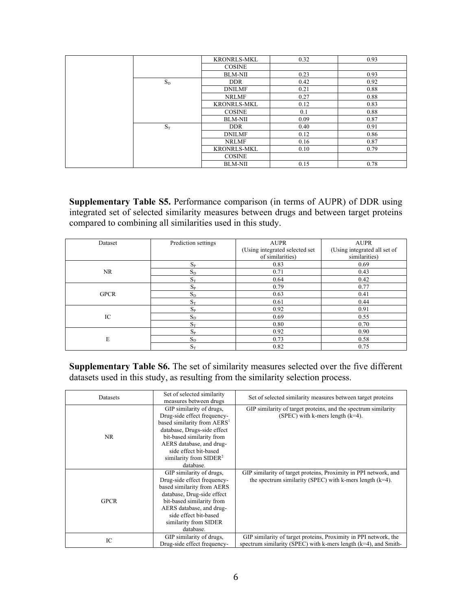|       | <b>KRONRLS-MKL</b> | 0.32 | 0.93 |
|-------|--------------------|------|------|
|       | <b>COSINE</b>      |      |      |
|       | <b>BLM-NII</b>     | 0.23 | 0.93 |
| $S_D$ | <b>DDR</b>         | 0.42 | 0.92 |
|       | <b>DNILMF</b>      | 0.21 | 0.88 |
|       | <b>NRLMF</b>       | 0.27 | 0.88 |
|       | <b>KRONRLS-MKL</b> | 0.12 | 0.83 |
|       | <b>COSINE</b>      | 0.1  | 0.88 |
|       | <b>BLM-NII</b>     | 0.09 | 0.87 |
| $S_T$ | <b>DDR</b>         | 0.40 | 0.91 |
|       | <b>DNILMF</b>      | 0.12 | 0.86 |
|       | <b>NRLMF</b>       | 0.16 | 0.87 |
|       | <b>KRONRLS-MKL</b> | 0.10 | 0.79 |
|       | <b>COSINE</b>      |      |      |
|       | <b>BLM-NII</b>     | 0.15 | 0.78 |

**Supplementary Table S5.** Performance comparison (in terms of AUPR) of DDR using integrated set of selected similarity measures between drugs and between target proteins compared to combining all similarities used in this study.

| Dataset     | Prediction settings       | <b>AUPR</b><br>(Using integrated selected set<br>of similarities) | <b>AUPR</b><br>(Using integrated all set of<br>similarities) |
|-------------|---------------------------|-------------------------------------------------------------------|--------------------------------------------------------------|
|             | $S_{P}$                   | 0.83                                                              | 0.69                                                         |
| NR.         | $S_D$                     | 0.71                                                              | 0.43                                                         |
|             | $S_T$                     | 0.64                                                              | 0.42                                                         |
|             | $S_{P}$                   | 0.79                                                              | 0.77                                                         |
| <b>GPCR</b> | $\mathbf{S}_{\mathrm{D}}$ | 0.63                                                              | 0.41                                                         |
|             | $S_T$                     | 0.61                                                              | 0.44                                                         |
|             | $S_{P}$                   | 0.92                                                              | 0.91                                                         |
| IC          | $S_D$                     | 0.69                                                              | 0.55                                                         |
|             | $S_T$                     | 0.80                                                              | 0.70                                                         |
|             | $\mathbf{S}_{\texttt{P}}$ | 0.92                                                              | 0.90                                                         |
| E           | $S_D$                     | 0.73                                                              | 0.58                                                         |
|             | $S_T$                     | 0.82                                                              | 0.75                                                         |

**Supplementary Table S6.** The set of similarity measures selected over the five different datasets used in this study, as resulting from the similarity selection process.

| Datasets    | Set of selected similarity<br>measures between drugs                                                                                                                                                                                                         | Set of selected similarity measures between target proteins                                                                            |
|-------------|--------------------------------------------------------------------------------------------------------------------------------------------------------------------------------------------------------------------------------------------------------------|----------------------------------------------------------------------------------------------------------------------------------------|
| NR          | GIP similarity of drugs.<br>Drug-side effect frequency-<br>based similarity from AERS <sup>1</sup><br>database, Drugs-side effect<br>bit-based similarity from<br>AERS database, and drug-<br>side effect bit-based<br>similarity from $SIDER2$<br>database. | GIP similarity of target proteins, and the spectrum similarity<br>(SPEC) with k-mers length $(k=4)$ .                                  |
| <b>GPCR</b> | GIP similarity of drugs.<br>Drug-side effect frequency-<br>based similarity from AERS<br>database, Drug-side effect<br>bit-based similarity from<br>AERS database, and drug-<br>side effect bit-based<br>similarity from SIDER<br>database.                  | GIP similarity of target proteins, Proximity in PPI network, and<br>the spectrum similarity (SPEC) with k-mers length $(k=4)$ .        |
| IC          | GIP similarity of drugs,<br>Drug-side effect frequency-                                                                                                                                                                                                      | GIP similarity of target proteins, Proximity in PPI network, the<br>spectrum similarity (SPEC) with k-mers length $(k=4)$ , and Smith- |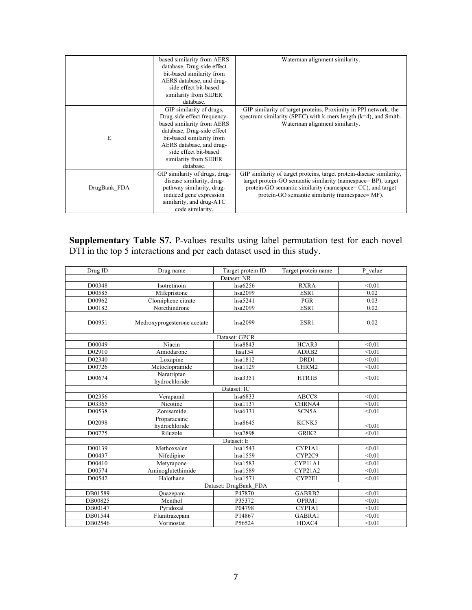|              | based similarity from AERS<br>database, Drug-side effect<br>bit-based similarity from<br>AERS database, and drug-<br>side effect bit-based<br>similarity from SIDER<br>database.                                                            | Waterman alignment similarity.                                                                                                                                                                                                                          |
|--------------|---------------------------------------------------------------------------------------------------------------------------------------------------------------------------------------------------------------------------------------------|---------------------------------------------------------------------------------------------------------------------------------------------------------------------------------------------------------------------------------------------------------|
| E            | GIP similarity of drugs,<br>Drug-side effect frequency-<br>based similarity from AERS<br>database, Drug-side effect<br>bit-based similarity from<br>AERS database, and drug-<br>side effect bit-based<br>similarity from SIDER<br>database. | GIP similarity of target proteins, Proximity in PPI network, the<br>spectrum similarity (SPEC) with k-mers length $(k=4)$ , and Smith-<br>Waterman alignment similarity.                                                                                |
| DrugBank FDA | GIP similarity of drugs, drug-<br>disease similarity, drug-<br>pathway similarity, drug-<br>induced gene expression<br>similarity, and drug-ATC<br>code similarity.                                                                         | GIP similarity of target proteins, target protein-disease similarity,<br>target protein-GO semantic similarity (namespace= BP), target<br>protein-GO semantic similarity (namespace= CC), and target<br>protein-GO semantic similarity (namespace= MF). |

**Supplementary Table S7.** P-values results using label permutation test for each novel DTI in the top 5 interactions and per each dataset used in this study.

| Drug ID     | Drug name                     | Target protein ID     | Target protein name | P value |  |  |
|-------------|-------------------------------|-----------------------|---------------------|---------|--|--|
| Dataset: NR |                               |                       |                     |         |  |  |
| D00348      | Isotretinoin                  | hsa6256               | <b>RXRA</b>         | < 0.01  |  |  |
| D00585      | Mifepristone                  | hsa2099               | ESR1                | 0.02    |  |  |
| D00962      | Clomiphene citrate            | hsa5241               | <b>PGR</b>          | 0.03    |  |  |
| D00182      | Norethindrone                 | hsa2099               | ESR1                | 0.02    |  |  |
| D00951      | Medroxyprogesterone acetate   | hsa2099               | ESR1                | 0.02    |  |  |
|             |                               | Dataset: GPCR         |                     |         |  |  |
| D00049      | Niacin                        | hsa8843               | HCAR3               | < 0.01  |  |  |
| D02910      | Amiodarone                    | hsa154                | ADRB <sub>2</sub>   | < 0.01  |  |  |
| D02340      | Loxapine                      | hsa1812               | DRD1                | < 0.01  |  |  |
| D00726      | Metoclopramide                | hsa1129               | CHRM2               | < 0.01  |  |  |
| D00674      | Naratriptan<br>hydrochloride  | hsa3351               | HTR1B               | < 0.01  |  |  |
|             |                               | Dataset: IC           |                     |         |  |  |
| D02356      | Verapamil                     | hsa6833               | ABCC8               | < 0.01  |  |  |
| D03365      | Nicotine                      | hsa1137               | CHRNA4              | < 0.01  |  |  |
| D00538      | Zonisamide                    | hsa6331               | SCN5A               | < 0.01  |  |  |
| D02098      | Proparacaine<br>hydrochloride | hsa8645               | KCNK5               | < 0.01  |  |  |
| D00775      | Riluzole                      | hsa2898               | GRIK2               | < 0.01  |  |  |
|             |                               | Dataset: E            |                     |         |  |  |
| D00139      | Methoxsalen                   | hsa1543               | CYP1A1              | < 0.01  |  |  |
| D00437      | Nifedipine                    | hsa1559               | CYP2C9              | < 0.01  |  |  |
| D00410      | Metyrapone                    | hsa1583               | CYP11A1             | < 0.01  |  |  |
| D00574      | Aminoglutethimide             | hsa1589               | CYP21A2             | < 0.01  |  |  |
| D00542      | Halothane                     | hsa1571               | CYP2E1              | < 0.01  |  |  |
|             |                               | Dataset: DrugBank FDA |                     |         |  |  |
| DB01589     | Quazepam                      | P47870                | GABRB2              | < 0.01  |  |  |
| DB00825     | Menthol                       | P35372                | OPRM1               | < 0.01  |  |  |
| DB00147     | Pyridoxal                     | P04798                | CYP1A1              | < 0.01  |  |  |
| DB01544     | Flunitrazepam                 | P14867                | GABRA1              | < 0.01  |  |  |
| DB02546     | Vorinostat                    | P56524                | HDAC4               | < 0.01  |  |  |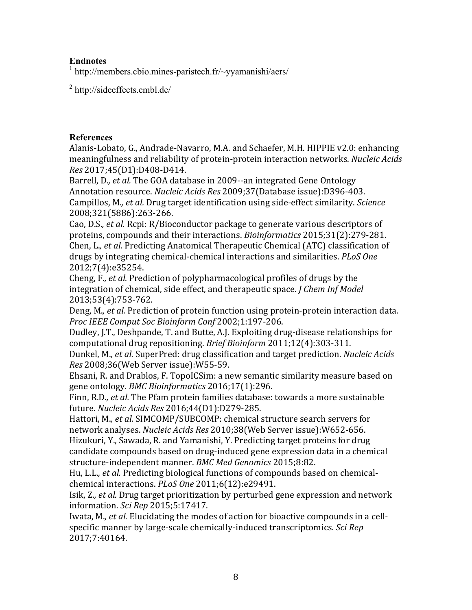# **Endnotes**

<sup>1</sup> http://members.cbio.mines-paristech.fr/~yyamanishi/aers/

<sup>2</sup> http://sideeffects.embl.de/

## **References**

Alanis-Lobato, G., Andrade-Navarro, M.A. and Schaefer, M.H. HIPPIE v2.0: enhancing meaningfulness and reliability of protein-protein interaction networks. *Nucleic Acids Res* 2017;45(D1):D408-D414.

Barrell, D., *et al.* The GOA database in 2009--an integrated Gene Ontology Annotation resource. *Nucleic Acids Res* 2009;37(Database issue):D396-403. Campillos, M., et al. Drug target identification using side-effect similarity. *Science* 2008;321(5886):263-266.

Cao, D.S., *et al.* Rcpi: R/Bioconductor package to generate various descriptors of proteins, compounds and their interactions. *Bioinformatics* 2015;31(2):279-281. Chen, L., *et al.* Predicting Anatomical Therapeutic Chemical (ATC) classification of drugs by integrating chemical-chemical interactions and similarities. *PLoS One* 2012;7(4):e35254.

Cheng, F., *et al.* Prediction of polypharmacological profiles of drugs by the integration of chemical, side effect, and therapeutic space. *J Chem Inf Model* 2013;53(4):753-762.

Deng, M., et al. Prediction of protein function using protein-protein interaction data. *Proc IEEE Comput Soc Bioinform Conf* 2002;1:197-206.

Dudley, J.T., Deshpande, T. and Butte, A.J. Exploiting drug-disease relationships for computational drug repositioning. *Brief Bioinform* 2011;12(4):303-311.

Dunkel, M., et al. SuperPred: drug classification and target prediction. *Nucleic Acids Res* 2008;36(Web Server issue):W55-59.

Ehsani, R. and Drablos, F. TopoICSim: a new semantic similarity measure based on gene ontology. *BMC Bioinformatics* 2016;17(1):296.

Finn, R.D., et al. The Pfam protein families database: towards a more sustainable future. *Nucleic Acids Res* 2016;44(D1):D279-285.

Hattori, M., et al. SIMCOMP/SUBCOMP: chemical structure search servers for network analyses. *Nucleic Acids Res* 2010;38(Web Server issue):W652-656. Hizukuri, Y., Sawada, R. and Yamanishi, Y. Predicting target proteins for drug candidate compounds based on drug-induced gene expression data in a chemical

structure-independent manner. *BMC Med Genomics* 2015:8:82.

Hu, L.L., *et al.* Predicting biological functions of compounds based on chemicalchemical interactions. *PLoS One* 2011;6(12):e29491.

Isik, Z., *et al.* Drug target prioritization by perturbed gene expression and network information. *Sci Rep* 2015;5:17417.

Iwata, M., *et al.* Elucidating the modes of action for bioactive compounds in a cellspecific manner by large-scale chemically-induced transcriptomics. Sci Rep 2017;7:40164.